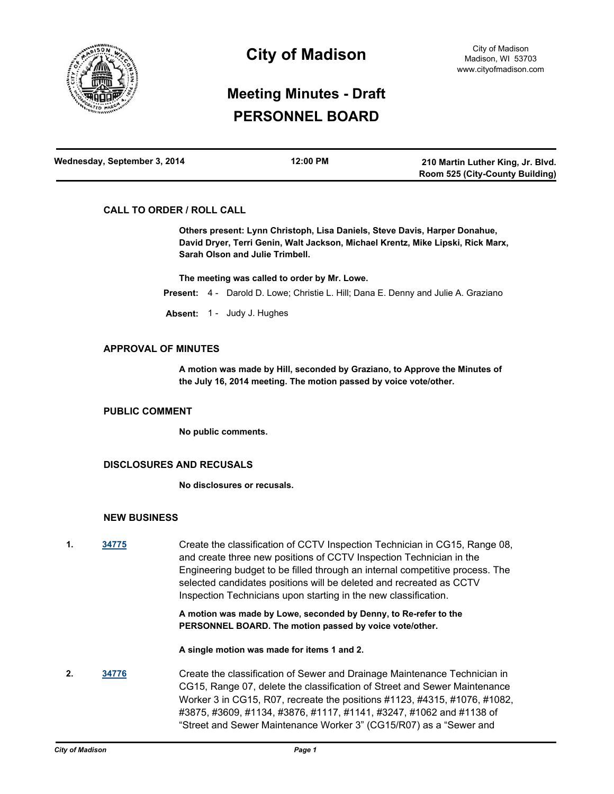

## **City of Madison**

# **Meeting Minutes - Draft PERSONNEL BOARD**

| Wednesday, September 3, 2014 | 12:00 PM | 210 Martin Luther King, Jr. Blvd. |
|------------------------------|----------|-----------------------------------|
|                              |          | Room 525 (City-County Building)   |

## **CALL TO ORDER / ROLL CALL**

**Others present: Lynn Christoph, Lisa Daniels, Steve Davis, Harper Donahue, David Dryer, Terri Genin, Walt Jackson, Michael Krentz, Mike Lipski, Rick Marx, Sarah Olson and Julie Trimbell.**

**The meeting was called to order by Mr. Lowe.**

**Present:** 4 - Darold D. Lowe; Christie L. Hill; Dana E. Denny and Julie A. Graziano

**Absent:** 1 - Judy J. Hughes

#### **APPROVAL OF MINUTES**

**A motion was made by Hill, seconded by Graziano, to Approve the Minutes of the July 16, 2014 meeting. The motion passed by voice vote/other.**

#### **PUBLIC COMMENT**

**No public comments.**

## **DISCLOSURES AND RECUSALS**

**No disclosures or recusals.**

## **NEW BUSINESS**

**1. [34775](http://madison.legistar.com/gateway.aspx?m=l&id=/matter.aspx?key=37874)** Create the classification of CCTV Inspection Technician in CG15, Range 08, and create three new positions of CCTV Inspection Technician in the Engineering budget to be filled through an internal competitive process. The selected candidates positions will be deleted and recreated as CCTV Inspection Technicians upon starting in the new classification.

> **A motion was made by Lowe, seconded by Denny, to Re-refer to the PERSONNEL BOARD. The motion passed by voice vote/other.**

**A single motion was made for items 1 and 2.**

**2. [34776](http://madison.legistar.com/gateway.aspx?m=l&id=/matter.aspx?key=37875)** Create the classification of Sewer and Drainage Maintenance Technician in CG15, Range 07, delete the classification of Street and Sewer Maintenance Worker 3 in CG15, R07, recreate the positions #1123, #4315, #1076, #1082, #3875, #3609, #1134, #3876, #1117, #1141, #3247, #1062 and #1138 of "Street and Sewer Maintenance Worker 3" (CG15/R07) as a "Sewer and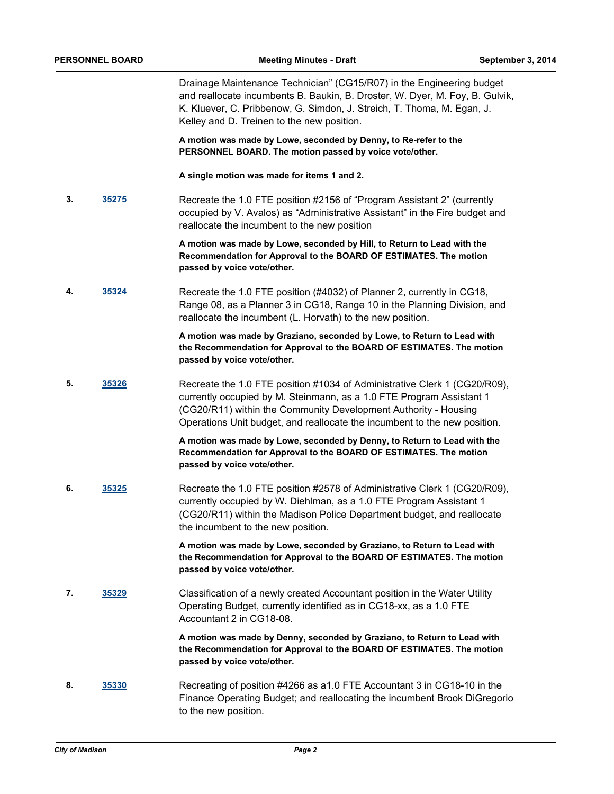Drainage Maintenance Technician" (CG15/R07) in the Engineering budget and reallocate incumbents B. Baukin, B. Droster, W. Dyer, M. Foy, B. Gulvik, K. Kluever, C. Pribbenow, G. Simdon, J. Streich, T. Thoma, M. Egan, J. Kelley and D. Treinen to the new position.

**A motion was made by Lowe, seconded by Denny, to Re-refer to the PERSONNEL BOARD. The motion passed by voice vote/other.**

**A single motion was made for items 1 and 2.**

**3. [35275](http://madison.legistar.com/gateway.aspx?m=l&id=/matter.aspx?key=38363)** Recreate the 1.0 FTE position #2156 of "Program Assistant 2" (currently occupied by V. Avalos) as "Administrative Assistant" in the Fire budget and reallocate the incumbent to the new position

> **A motion was made by Lowe, seconded by Hill, to Return to Lead with the Recommendation for Approval to the BOARD OF ESTIMATES. The motion passed by voice vote/other.**

**4. [35324](http://madison.legistar.com/gateway.aspx?m=l&id=/matter.aspx?key=38404)** Recreate the 1.0 FTE position (#4032) of Planner 2, currently in CG18, Range 08, as a Planner 3 in CG18, Range 10 in the Planning Division, and reallocate the incumbent (L. Horvath) to the new position.

> **A motion was made by Graziano, seconded by Lowe, to Return to Lead with the Recommendation for Approval to the BOARD OF ESTIMATES. The motion passed by voice vote/other.**

**5. [35326](http://madison.legistar.com/gateway.aspx?m=l&id=/matter.aspx?key=38406)** Recreate the 1.0 FTE position #1034 of Administrative Clerk 1 (CG20/R09), currently occupied by M. Steinmann, as a 1.0 FTE Program Assistant 1 (CG20/R11) within the Community Development Authority - Housing Operations Unit budget, and reallocate the incumbent to the new position.

> **A motion was made by Lowe, seconded by Denny, to Return to Lead with the Recommendation for Approval to the BOARD OF ESTIMATES. The motion passed by voice vote/other.**

**6. [35325](http://madison.legistar.com/gateway.aspx?m=l&id=/matter.aspx?key=38405)** Recreate the 1.0 FTE position #2578 of Administrative Clerk 1 (CG20/R09), currently occupied by W. Diehlman, as a 1.0 FTE Program Assistant 1 (CG20/R11) within the Madison Police Department budget, and reallocate the incumbent to the new position.

> **A motion was made by Lowe, seconded by Graziano, to Return to Lead with the Recommendation for Approval to the BOARD OF ESTIMATES. The motion passed by voice vote/other.**

**7. [35329](http://madison.legistar.com/gateway.aspx?m=l&id=/matter.aspx?key=38409)** Classification of a newly created Accountant position in the Water Utility Operating Budget, currently identified as in CG18-xx, as a 1.0 FTE Accountant 2 in CG18-08.

> **A motion was made by Denny, seconded by Graziano, to Return to Lead with the Recommendation for Approval to the BOARD OF ESTIMATES. The motion passed by voice vote/other.**

**8. [35330](http://madison.legistar.com/gateway.aspx?m=l&id=/matter.aspx?key=38410)** Recreating of position #4266 as a1.0 FTE Accountant 3 in CG18-10 in the Finance Operating Budget; and reallocating the incumbent Brook DiGregorio to the new position.